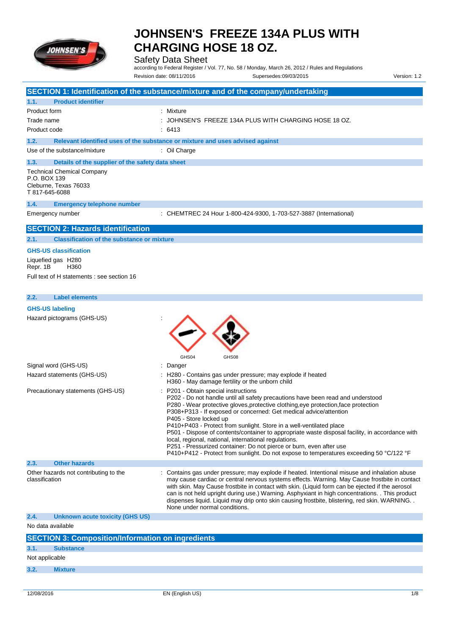

Safety Data Sheet

**SECTION 1: Identification of the substance/mixture and of the company/undertaking**

according to Federal Register / Vol. 77, No. 58 / Monday, March 26, 2012 / Rules and Regulations Revision date: 08/11/2016 Supersedes:09/03/2015 Version: 1.2

| 1.1.                           | <b>Product identifier</b>                                  |                                                                                                                                                                                                                                                                                                                                                                                                                                                                                                                                                                                                                                                                                                                  |
|--------------------------------|------------------------------------------------------------|------------------------------------------------------------------------------------------------------------------------------------------------------------------------------------------------------------------------------------------------------------------------------------------------------------------------------------------------------------------------------------------------------------------------------------------------------------------------------------------------------------------------------------------------------------------------------------------------------------------------------------------------------------------------------------------------------------------|
| Product form                   |                                                            | Mixture                                                                                                                                                                                                                                                                                                                                                                                                                                                                                                                                                                                                                                                                                                          |
| Trade name                     |                                                            | JOHNSEN'S FREEZE 134A PLUS WITH CHARGING HOSE 18 OZ.                                                                                                                                                                                                                                                                                                                                                                                                                                                                                                                                                                                                                                                             |
| Product code                   |                                                            | 6413                                                                                                                                                                                                                                                                                                                                                                                                                                                                                                                                                                                                                                                                                                             |
| 1.2.                           |                                                            | Relevant identified uses of the substance or mixture and uses advised against                                                                                                                                                                                                                                                                                                                                                                                                                                                                                                                                                                                                                                    |
|                                | Use of the substance/mixture                               | : Oil Charge                                                                                                                                                                                                                                                                                                                                                                                                                                                                                                                                                                                                                                                                                                     |
| 1.3.                           | Details of the supplier of the safety data sheet           |                                                                                                                                                                                                                                                                                                                                                                                                                                                                                                                                                                                                                                                                                                                  |
| P.O. BOX 139<br>T 817-645-6088 | <b>Technical Chemical Company</b><br>Cleburne, Texas 76033 |                                                                                                                                                                                                                                                                                                                                                                                                                                                                                                                                                                                                                                                                                                                  |
| 1.4.                           | <b>Emergency telephone number</b>                          |                                                                                                                                                                                                                                                                                                                                                                                                                                                                                                                                                                                                                                                                                                                  |
|                                | Emergency number                                           | : CHEMTREC 24 Hour 1-800-424-9300, 1-703-527-3887 (International)                                                                                                                                                                                                                                                                                                                                                                                                                                                                                                                                                                                                                                                |
|                                |                                                            |                                                                                                                                                                                                                                                                                                                                                                                                                                                                                                                                                                                                                                                                                                                  |
|                                | <b>SECTION 2: Hazards identification</b>                   |                                                                                                                                                                                                                                                                                                                                                                                                                                                                                                                                                                                                                                                                                                                  |
| 2.1.                           | <b>Classification of the substance or mixture</b>          |                                                                                                                                                                                                                                                                                                                                                                                                                                                                                                                                                                                                                                                                                                                  |
|                                | <b>GHS-US classification</b>                               |                                                                                                                                                                                                                                                                                                                                                                                                                                                                                                                                                                                                                                                                                                                  |
| Repr. 1B                       | Liquefied gas H280<br>H360                                 |                                                                                                                                                                                                                                                                                                                                                                                                                                                                                                                                                                                                                                                                                                                  |
|                                | Full text of H statements : see section 16                 |                                                                                                                                                                                                                                                                                                                                                                                                                                                                                                                                                                                                                                                                                                                  |
|                                |                                                            |                                                                                                                                                                                                                                                                                                                                                                                                                                                                                                                                                                                                                                                                                                                  |
| 2.2.                           | <b>Label elements</b>                                      |                                                                                                                                                                                                                                                                                                                                                                                                                                                                                                                                                                                                                                                                                                                  |
| <b>GHS-US labeling</b>         |                                                            |                                                                                                                                                                                                                                                                                                                                                                                                                                                                                                                                                                                                                                                                                                                  |
|                                | Hazard pictograms (GHS-US)                                 |                                                                                                                                                                                                                                                                                                                                                                                                                                                                                                                                                                                                                                                                                                                  |
|                                |                                                            | GHS04<br>GHS08                                                                                                                                                                                                                                                                                                                                                                                                                                                                                                                                                                                                                                                                                                   |
|                                | Signal word (GHS-US)                                       | Danger                                                                                                                                                                                                                                                                                                                                                                                                                                                                                                                                                                                                                                                                                                           |
|                                | Hazard statements (GHS-US)                                 | H280 - Contains gas under pressure; may explode if heated<br>H360 - May damage fertility or the unborn child                                                                                                                                                                                                                                                                                                                                                                                                                                                                                                                                                                                                     |
|                                | Precautionary statements (GHS-US)                          | P201 - Obtain special instructions<br>P202 - Do not handle until all safety precautions have been read and understood<br>P280 - Wear protective gloves, protective clothing, eye protection, face protection<br>P308+P313 - If exposed or concerned: Get medical advice/attention<br>P405 - Store locked up<br>P410+P403 - Protect from sunlight. Store in a well-ventilated place<br>P501 - Dispose of contents/container to appropriate waste disposal facility, in accordance with<br>local, regional, national, international regulations.<br>P251 - Pressurized container: Do not pierce or burn, even after use<br>P410+P412 - Protect from sunlight. Do not expose to temperatures exceeding 50 °C/122 °F |
| 2.3.                           | <b>Other hazards</b>                                       |                                                                                                                                                                                                                                                                                                                                                                                                                                                                                                                                                                                                                                                                                                                  |
| classification                 | Other hazards not contributing to the                      | Contains gas under pressure; may explode if heated. Intentional misuse and inhalation abuse<br>may cause cardiac or central nervous systems effects. Warning. May Cause frostbite in contact<br>with skin. May Cause frostbite in contact with skin. (Liquid form can be ejected if the aerosol<br>can is not held upright during use.) Warning. Asphyxiant in high concentrations. This product<br>dispenses liquid. Liquid may drip onto skin causing frostbite, blistering, red skin. WARNING<br>None under normal conditions.                                                                                                                                                                                |
| 2.4.                           | <b>Unknown acute toxicity (GHS US)</b>                     |                                                                                                                                                                                                                                                                                                                                                                                                                                                                                                                                                                                                                                                                                                                  |
| No data available              |                                                            |                                                                                                                                                                                                                                                                                                                                                                                                                                                                                                                                                                                                                                                                                                                  |
|                                | <b>SECTION 3: Composition/Information on ingredients</b>   |                                                                                                                                                                                                                                                                                                                                                                                                                                                                                                                                                                                                                                                                                                                  |
| 3.1.                           | <b>Substance</b>                                           |                                                                                                                                                                                                                                                                                                                                                                                                                                                                                                                                                                                                                                                                                                                  |
| Not applicable                 |                                                            |                                                                                                                                                                                                                                                                                                                                                                                                                                                                                                                                                                                                                                                                                                                  |

**3.2. Mixture**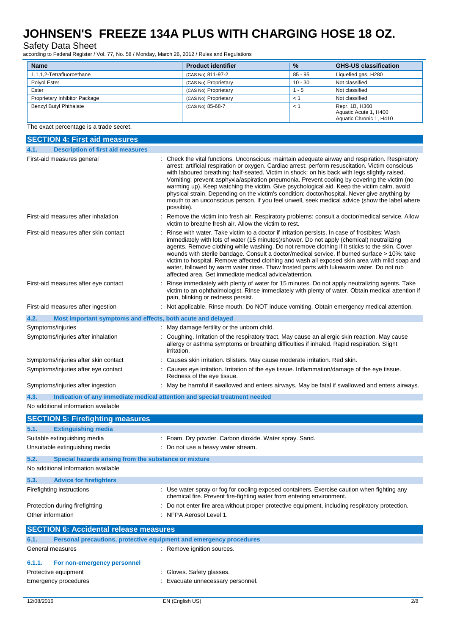### Safety Data Sheet

according to Federal Register / Vol. 77, No. 58 / Monday, March 26, 2012 / Rules and Regulations

| <b>Name</b>                   | <b>Product identifier</b> | $\frac{9}{6}$ | <b>GHS-US classification</b>                                       |
|-------------------------------|---------------------------|---------------|--------------------------------------------------------------------|
| 1.1.1.2-Tetrafluoroethane     | (CAS No) 811-97-2         | 85 - 95       | Liquefied gas, H280                                                |
| Polvol Ester                  | (CAS No) Proprietary      | $10 - 30$     | Not classified                                                     |
| Ester                         | (CAS No) Proprietary      | $1 - 5$       | Not classified                                                     |
| Proprietary Inhibitor Package | (CAS No) Proprietary      | $\hat{~}$     | Not classified                                                     |
| Benzyl Butyl Phthalate        | (CAS No) 85-68-7          | $\leq$ $\leq$ | Repr. 1B, H360<br>Aquatic Acute 1, H400<br>Aquatic Chronic 1, H410 |

#### The exact percentage is a trade secret.

| <b>SECTION 4: First aid measures</b>                                               |                                                                                                                                                                                                                                                                                                                                                                                                                                                                                                                                                                                                                                                                                                                  |  |  |  |
|------------------------------------------------------------------------------------|------------------------------------------------------------------------------------------------------------------------------------------------------------------------------------------------------------------------------------------------------------------------------------------------------------------------------------------------------------------------------------------------------------------------------------------------------------------------------------------------------------------------------------------------------------------------------------------------------------------------------------------------------------------------------------------------------------------|--|--|--|
| <b>Description of first aid measures</b><br>4.1.                                   |                                                                                                                                                                                                                                                                                                                                                                                                                                                                                                                                                                                                                                                                                                                  |  |  |  |
| First-aid measures general                                                         | Check the vital functions. Unconscious: maintain adequate airway and respiration. Respiratory<br>arrest: artificial respiration or oxygen. Cardiac arrest: perform resuscitation. Victim conscious<br>with laboured breathing: half-seated. Victim in shock: on his back with legs slightly raised.<br>Vomiting: prevent asphyxia/aspiration pneumonia. Prevent cooling by covering the victim (no<br>warming up). Keep watching the victim. Give psychological aid. Keep the victim calm, avoid<br>physical strain. Depending on the victim's condition: doctor/hospital. Never give anything by<br>mouth to an unconscious person. If you feel unwell, seek medical advice (show the label where<br>possible). |  |  |  |
| First-aid measures after inhalation                                                | Remove the victim into fresh air. Respiratory problems: consult a doctor/medical service. Allow<br>victim to breathe fresh air. Allow the victim to rest.                                                                                                                                                                                                                                                                                                                                                                                                                                                                                                                                                        |  |  |  |
| First-aid measures after skin contact                                              | Rinse with water. Take victim to a doctor if irritation persists. In case of frostbites: Wash<br>immediately with lots of water (15 minutes)/shower. Do not apply (chemical) neutralizing<br>agents. Remove clothing while washing. Do not remove clothing if it sticks to the skin. Cover<br>wounds with sterile bandage. Consult a doctor/medical service. If burned surface > 10%: take<br>victim to hospital. Remove affected clothing and wash all exposed skin area with mild soap and<br>water, followed by warm water rinse. Thaw frosted parts with lukewarm water. Do not rub<br>affected area. Get immediate medical advice/attention.                                                                |  |  |  |
| First-aid measures after eye contact                                               | Rinse immediately with plenty of water for 15 minutes. Do not apply neutralizing agents. Take<br>victim to an ophthalmologist. Rinse immediately with plenty of water. Obtain medical attention if<br>pain, blinking or redness persist.                                                                                                                                                                                                                                                                                                                                                                                                                                                                         |  |  |  |
| First-aid measures after ingestion                                                 | Not applicable. Rinse mouth. Do NOT induce vomiting. Obtain emergency medical attention.                                                                                                                                                                                                                                                                                                                                                                                                                                                                                                                                                                                                                         |  |  |  |
| 4.2.<br>Most important symptoms and effects, both acute and delayed                |                                                                                                                                                                                                                                                                                                                                                                                                                                                                                                                                                                                                                                                                                                                  |  |  |  |
| Symptoms/injuries                                                                  | May damage fertility or the unborn child.                                                                                                                                                                                                                                                                                                                                                                                                                                                                                                                                                                                                                                                                        |  |  |  |
| Symptoms/injuries after inhalation                                                 | Coughing. Irritation of the respiratory tract. May cause an allergic skin reaction. May cause<br>allergy or asthma symptoms or breathing difficulties if inhaled. Rapid respiration. Slight<br>irritation.                                                                                                                                                                                                                                                                                                                                                                                                                                                                                                       |  |  |  |
| Symptoms/injuries after skin contact                                               | Causes skin irritation. Blisters. May cause moderate irritation. Red skin.                                                                                                                                                                                                                                                                                                                                                                                                                                                                                                                                                                                                                                       |  |  |  |
| Symptoms/injuries after eye contact                                                | Causes eye irritation. Irritation of the eye tissue. Inflammation/damage of the eye tissue.<br>Redness of the eye tissue.                                                                                                                                                                                                                                                                                                                                                                                                                                                                                                                                                                                        |  |  |  |
| Symptoms/injuries after ingestion                                                  | : May be harmful if swallowed and enters airways. May be fatal if swallowed and enters airways.                                                                                                                                                                                                                                                                                                                                                                                                                                                                                                                                                                                                                  |  |  |  |
| 4.3.<br>Indication of any immediate medical attention and special treatment needed |                                                                                                                                                                                                                                                                                                                                                                                                                                                                                                                                                                                                                                                                                                                  |  |  |  |
| No additional information available                                                |                                                                                                                                                                                                                                                                                                                                                                                                                                                                                                                                                                                                                                                                                                                  |  |  |  |
| <b>SECTION 5: Firefighting measures</b>                                            |                                                                                                                                                                                                                                                                                                                                                                                                                                                                                                                                                                                                                                                                                                                  |  |  |  |
| <b>Extinguishing media</b><br>5.1.                                                 |                                                                                                                                                                                                                                                                                                                                                                                                                                                                                                                                                                                                                                                                                                                  |  |  |  |
| Suitable extinguishing media                                                       | : Foam. Dry powder. Carbon dioxide. Water spray. Sand.                                                                                                                                                                                                                                                                                                                                                                                                                                                                                                                                                                                                                                                           |  |  |  |
| Unsuitable extinguishing media                                                     | Do not use a heavy water stream.                                                                                                                                                                                                                                                                                                                                                                                                                                                                                                                                                                                                                                                                                 |  |  |  |
| 5.2.<br>Special hazards arising from the substance or mixture                      |                                                                                                                                                                                                                                                                                                                                                                                                                                                                                                                                                                                                                                                                                                                  |  |  |  |
| No additional information available                                                |                                                                                                                                                                                                                                                                                                                                                                                                                                                                                                                                                                                                                                                                                                                  |  |  |  |
| 5.3.<br><b>Advice for firefighters</b>                                             |                                                                                                                                                                                                                                                                                                                                                                                                                                                                                                                                                                                                                                                                                                                  |  |  |  |
| Firefighting instructions                                                          | : Use water spray or fog for cooling exposed containers. Exercise caution when fighting any<br>chemical fire. Prevent fire-fighting water from entering environment.                                                                                                                                                                                                                                                                                                                                                                                                                                                                                                                                             |  |  |  |
| Protection during firefighting                                                     | Do not enter fire area without proper protective equipment, including respiratory protection.                                                                                                                                                                                                                                                                                                                                                                                                                                                                                                                                                                                                                    |  |  |  |
| Other information                                                                  | NFPA Aerosol Level 1.                                                                                                                                                                                                                                                                                                                                                                                                                                                                                                                                                                                                                                                                                            |  |  |  |
| <b>SECTION 6: Accidental release measures</b>                                      |                                                                                                                                                                                                                                                                                                                                                                                                                                                                                                                                                                                                                                                                                                                  |  |  |  |
| Personal precautions, protective equipment and emergency procedures<br>6.1.        |                                                                                                                                                                                                                                                                                                                                                                                                                                                                                                                                                                                                                                                                                                                  |  |  |  |
| General measures                                                                   | : Remove ignition sources.                                                                                                                                                                                                                                                                                                                                                                                                                                                                                                                                                                                                                                                                                       |  |  |  |
| 6.1.1.<br>For non-emergency personnel                                              |                                                                                                                                                                                                                                                                                                                                                                                                                                                                                                                                                                                                                                                                                                                  |  |  |  |
|                                                                                    | Protective equipment<br>Gloves. Safety glasses.                                                                                                                                                                                                                                                                                                                                                                                                                                                                                                                                                                                                                                                                  |  |  |  |
| <b>Emergency procedures</b>                                                        | Evacuate unnecessary personnel.                                                                                                                                                                                                                                                                                                                                                                                                                                                                                                                                                                                                                                                                                  |  |  |  |
|                                                                                    |                                                                                                                                                                                                                                                                                                                                                                                                                                                                                                                                                                                                                                                                                                                  |  |  |  |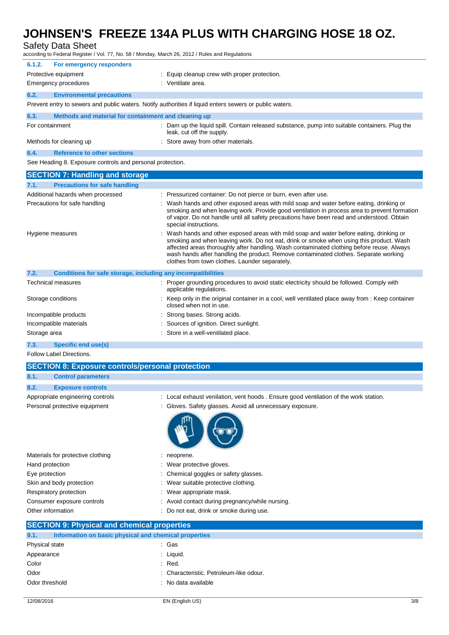Safety Data Sheet

according to Federal Register / Vol. 77, No. 58 / Monday, March 26, 2012 / Rules and Regulations

| colulling to Federal Register / Vol. 77, NO. 30 / Monday, March 20, 2012 / Rules and Regulations |                                                                                                                                                                                                                                                                                                                                                                                                                          |  |  |
|--------------------------------------------------------------------------------------------------|--------------------------------------------------------------------------------------------------------------------------------------------------------------------------------------------------------------------------------------------------------------------------------------------------------------------------------------------------------------------------------------------------------------------------|--|--|
| 6.1.2.<br>For emergency responders                                                               |                                                                                                                                                                                                                                                                                                                                                                                                                          |  |  |
| Protective equipment                                                                             | Equip cleanup crew with proper protection.                                                                                                                                                                                                                                                                                                                                                                               |  |  |
| <b>Emergency procedures</b>                                                                      | : Ventilate area.                                                                                                                                                                                                                                                                                                                                                                                                        |  |  |
| 6.2.<br><b>Environmental precautions</b>                                                         |                                                                                                                                                                                                                                                                                                                                                                                                                          |  |  |
|                                                                                                  | Prevent entry to sewers and public waters. Notify authorities if liquid enters sewers or public waters.                                                                                                                                                                                                                                                                                                                  |  |  |
| 6.3.<br>Methods and material for containment and cleaning up                                     |                                                                                                                                                                                                                                                                                                                                                                                                                          |  |  |
| For containment                                                                                  | Dam up the liquid spill. Contain released substance, pump into suitable containers. Plug the<br>leak, cut off the supply.                                                                                                                                                                                                                                                                                                |  |  |
| Methods for cleaning up                                                                          | : Store away from other materials.                                                                                                                                                                                                                                                                                                                                                                                       |  |  |
| 6.4.<br><b>Reference to other sections</b>                                                       |                                                                                                                                                                                                                                                                                                                                                                                                                          |  |  |
| See Heading 8. Exposure controls and personal protection.                                        |                                                                                                                                                                                                                                                                                                                                                                                                                          |  |  |
| <b>SECTION 7: Handling and storage</b>                                                           |                                                                                                                                                                                                                                                                                                                                                                                                                          |  |  |
| <b>Precautions for safe handling</b><br>7.1.                                                     |                                                                                                                                                                                                                                                                                                                                                                                                                          |  |  |
| Additional hazards when processed                                                                | Pressurized container: Do not pierce or burn, even after use.                                                                                                                                                                                                                                                                                                                                                            |  |  |
| Precautions for safe handling                                                                    | Wash hands and other exposed areas with mild soap and water before eating, drinking or<br>smoking and when leaving work. Provide good ventilation in process area to prevent formation<br>of vapor. Do not handle until all safety precautions have been read and understood. Obtain<br>special instructions.                                                                                                            |  |  |
| Hygiene measures                                                                                 | Wash hands and other exposed areas with mild soap and water before eating, drinking or<br>smoking and when leaving work. Do not eat, drink or smoke when using this product. Wash<br>affected areas thoroughly after handling. Wash contaminated clothing before reuse. Always<br>wash hands after handling the product. Remove contaminated clothes. Separate working<br>clothes from town clothes. Launder separately. |  |  |
| 7.2.<br>Conditions for safe storage, including any incompatibilities                             |                                                                                                                                                                                                                                                                                                                                                                                                                          |  |  |
| Technical measures                                                                               | : Proper grounding procedures to avoid static electricity should be followed. Comply with<br>applicable regulations.                                                                                                                                                                                                                                                                                                     |  |  |
| Storage conditions                                                                               | Keep only in the original container in a cool, well ventilated place away from : Keep container<br>closed when not in use.                                                                                                                                                                                                                                                                                               |  |  |
| Incompatible products                                                                            | Strong bases. Strong acids.                                                                                                                                                                                                                                                                                                                                                                                              |  |  |
| Incompatible materials                                                                           | Sources of ignition. Direct sunlight.                                                                                                                                                                                                                                                                                                                                                                                    |  |  |
| Storage area                                                                                     | Store in a well-ventilated place.                                                                                                                                                                                                                                                                                                                                                                                        |  |  |
| 7.3.<br>Specific end use(s)                                                                      |                                                                                                                                                                                                                                                                                                                                                                                                                          |  |  |
| <b>Follow Label Directions.</b>                                                                  |                                                                                                                                                                                                                                                                                                                                                                                                                          |  |  |
| <b>SECTION 8: Exposure controls/personal protection</b>                                          |                                                                                                                                                                                                                                                                                                                                                                                                                          |  |  |

### **8.1. Control parameters**

| 8.2.                          | <b>Exposure controls</b>         |                                                                                    |
|-------------------------------|----------------------------------|------------------------------------------------------------------------------------|
|                               | Appropriate engineering controls | Local exhaust venilation, vent hoods. Ensure good ventilation of the work station. |
| Personal protective equipment |                                  | : Gloves. Safety glasses. Avoid all unnecessary exposure.                          |
|                               |                                  |                                                                                    |

| Materials for protective clothing | neoprene.                                       |
|-----------------------------------|-------------------------------------------------|
| Hand protection                   | Wear protective gloves.<br>÷.                   |
| Eye protection                    | : Chemical goggles or safety glasses.           |
| Skin and body protection          | : Wear suitable protective clothing.            |
| Respiratory protection            | : Wear appropriate mask.                        |
| Consumer exposure controls        | : Avoid contact during pregnancy/while nursing. |
| Other information                 | Do not eat, drink or smoke during use.          |
|                                   |                                                 |

### **SECTION 9: Physical and chemical properties**

| 9.1.           | Information on basic physical and chemical properties |                                         |
|----------------|-------------------------------------------------------|-----------------------------------------|
| Physical state |                                                       | : Gas                                   |
| Appearance     |                                                       | $:$ Liquid.                             |
| Color          |                                                       | $:$ Red.                                |
| Odor           |                                                       | : Characteristic. Petroleum-like odour. |
| Odor threshold |                                                       | : No data available                     |
|                |                                                       |                                         |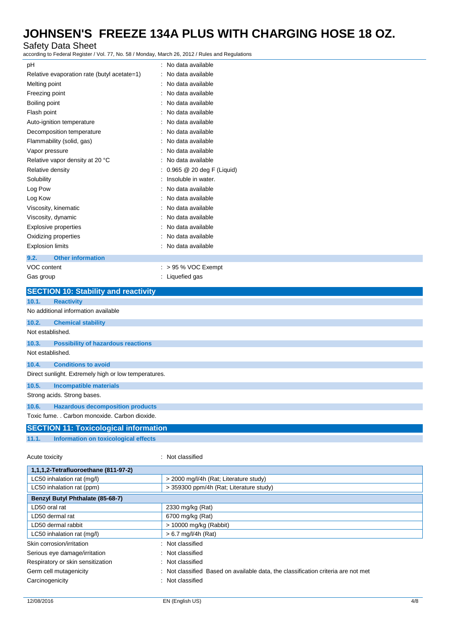### Safety Data Sheet

according to Federal Register / Vol. 77, No. 58 / Monday, March 26, 2012 / Rules and Regulations

| ccording to Federal Register / Vol. 77, No. 58 / Monday, March 26, 2012 / Rules and Regulations    |                                            |
|----------------------------------------------------------------------------------------------------|--------------------------------------------|
| рH                                                                                                 | : No data available                        |
| Relative evaporation rate (butyl acetate=1)                                                        | No data available                          |
| Melting point                                                                                      | No data available                          |
| Freezing point                                                                                     | No data available                          |
| Boiling point                                                                                      | No data available                          |
| Flash point                                                                                        | No data available                          |
| Auto-ignition temperature                                                                          | No data available                          |
| Decomposition temperature                                                                          | No data available                          |
| Flammability (solid, gas)                                                                          | No data available                          |
| Vapor pressure                                                                                     | No data available                          |
| Relative vapor density at 20 °C                                                                    | No data available                          |
| Relative density                                                                                   | 0.965 @ 20 deg F (Liquid)                  |
| Solubility                                                                                         | Insoluble in water.                        |
| Log Pow                                                                                            | No data available                          |
| Log Kow                                                                                            | No data available                          |
| Viscosity, kinematic                                                                               | No data available                          |
| Viscosity, dynamic                                                                                 | No data available                          |
| Explosive properties                                                                               | No data available                          |
| Oxidizing properties                                                                               | No data available                          |
| <b>Explosion limits</b>                                                                            | No data available                          |
| 9.2.<br><b>Other information</b>                                                                   |                                            |
| VOC content                                                                                        | $:$ > 95 % VOC Exempt                      |
| Gas group                                                                                          | : Liquefied gas                            |
| <b>SECTION 10: Stability and reactivity</b>                                                        |                                            |
|                                                                                                    |                                            |
|                                                                                                    |                                            |
| 10.1.<br><b>Reactivity</b>                                                                         |                                            |
| No additional information available                                                                |                                            |
| 10.2.<br><b>Chemical stability</b>                                                                 |                                            |
| Not established.                                                                                   |                                            |
| 10.3.<br><b>Possibility of hazardous reactions</b>                                                 |                                            |
| Not established.                                                                                   |                                            |
| <b>Conditions to avoid</b><br>10.4.                                                                |                                            |
| Direct sunlight. Extremely high or low temperatures.                                               |                                            |
| 10.5.<br><b>Incompatible materials</b>                                                             |                                            |
| Strong acids. Strong bases.                                                                        |                                            |
|                                                                                                    |                                            |
| <b>Hazardous decomposition products</b><br>10.6.<br>Toxic fume. . Carbon monoxide. Carbon dioxide. |                                            |
|                                                                                                    |                                            |
| <b>SECTION 11: Toxicological information</b>                                                       |                                            |
| Information on toxicological effects<br>11.1.                                                      |                                            |
| Acute toxicity                                                                                     | : Not classified                           |
| 1,1,1,2-Tetrafluoroethane (811-97-2)                                                               |                                            |
| LC50 inhalation rat (mg/l)                                                                         | > 2000 mg/l/4h (Rat; Literature study)     |
| LC50 inhalation rat (ppm)                                                                          | > 359300 ppm/4h (Rat; Literature study)    |
| Benzyl Butyl Phthalate (85-68-7)                                                                   |                                            |
| LD50 oral rat                                                                                      | 2330 mg/kg (Rat)                           |
| LD50 dermal rat                                                                                    | 6700 mg/kg (Rat)<br>> 10000 mg/kg (Rabbit) |

| 1,1,1,2-Tetrafluoroethane (811-97-2) |                                                                                   |
|--------------------------------------|-----------------------------------------------------------------------------------|
| LC50 inhalation rat (mg/l)           | > 2000 mg/l/4h (Rat; Literature study)                                            |
| LC50 inhalation rat (ppm)            | > 359300 ppm/4h (Rat: Literature study)                                           |
| Benzyl Butyl Phthalate (85-68-7)     |                                                                                   |
| LD50 oral rat                        | 2330 mg/kg (Rat)                                                                  |
| LD50 dermal rat                      | 6700 mg/kg (Rat)                                                                  |
| LD50 dermal rabbit                   | $> 10000$ mg/kg (Rabbit)                                                          |
| LC50 inhalation rat (mg/l)           | $> 6.7$ mg/l/4h (Rat)                                                             |
| Skin corrosion/irritation            | : Not classified                                                                  |
| Serious eye damage/irritation        | : Not classified                                                                  |
| Respiratory or skin sensitization    | : Not classified                                                                  |
| Germ cell mutagenicity               | : Not classified Based on available data, the classification criteria are not met |
| Carcinogenicity                      | : Not classified                                                                  |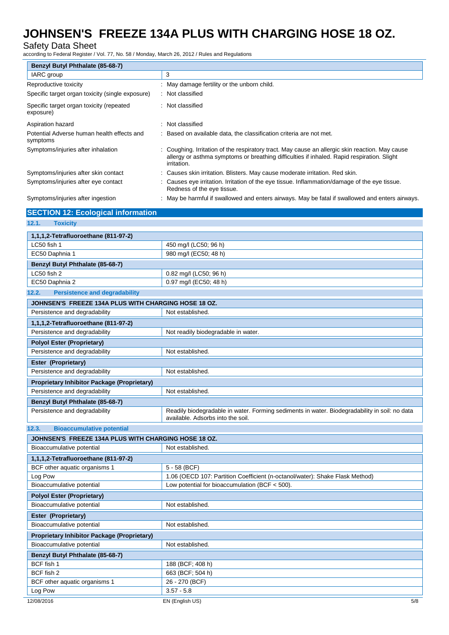### Safety Data Sheet

according to Federal Register / Vol. 77, No. 58 / Monday, March 26, 2012 / Rules and Regulations

| Benzyl Butyl Phthalate (85-68-7)                       |                                                                                                                                                                                                              |  |
|--------------------------------------------------------|--------------------------------------------------------------------------------------------------------------------------------------------------------------------------------------------------------------|--|
| IARC group                                             | 3                                                                                                                                                                                                            |  |
| Reproductive toxicity                                  | : May damage fertility or the unborn child.                                                                                                                                                                  |  |
| Specific target organ toxicity (single exposure)       | : Not classified                                                                                                                                                                                             |  |
| Specific target organ toxicity (repeated<br>exposure)  | : Not classified                                                                                                                                                                                             |  |
| Aspiration hazard                                      | : Not classified                                                                                                                                                                                             |  |
| Potential Adverse human health effects and<br>symptoms | : Based on available data, the classification criteria are not met.                                                                                                                                          |  |
| Symptoms/injuries after inhalation                     | : Coughing. Irritation of the respiratory tract. May cause an allergic skin reaction. May cause<br>allergy or asthma symptoms or breathing difficulties if inhaled. Rapid respiration. Slight<br>irritation. |  |
| Symptoms/injuries after skin contact                   | : Causes skin irritation. Blisters. May cause moderate irritation. Red skin.                                                                                                                                 |  |
| Symptoms/injuries after eye contact                    | Causes eye irritation. Irritation of the eye tissue. Inflammation/damage of the eye tissue.<br>Redness of the eye tissue.                                                                                    |  |

Symptoms/injuries after ingestion : May be harmful if swallowed and enters airways. May be fatal if swallowed and enters airways.

| <b>SECTION 12: Ecological information</b>            |                                                                                                                                    |
|------------------------------------------------------|------------------------------------------------------------------------------------------------------------------------------------|
| 12.1.<br><b>Toxicity</b>                             |                                                                                                                                    |
| 1,1,1,2-Tetrafluoroethane (811-97-2)                 |                                                                                                                                    |
| LC50 fish 1                                          | 450 mg/l (LC50; 96 h)                                                                                                              |
| EC50 Daphnia 1                                       | 980 mg/l (EC50; 48 h)                                                                                                              |
| Benzyl Butyl Phthalate (85-68-7)                     |                                                                                                                                    |
| LC50 fish 2                                          | 0.82 mg/l (LC50; 96 h)                                                                                                             |
| EC50 Daphnia 2                                       | 0.97 mg/l (EC50; 48 h)                                                                                                             |
| 12.2.<br><b>Persistence and degradability</b>        |                                                                                                                                    |
| JOHNSEN'S FREEZE 134A PLUS WITH CHARGING HOSE 18 OZ. |                                                                                                                                    |
| Persistence and degradability                        | Not established.                                                                                                                   |
| 1,1,1,2-Tetrafluoroethane (811-97-2)                 |                                                                                                                                    |
| Persistence and degradability                        | Not readily biodegradable in water.                                                                                                |
| <b>Polyol Ester (Proprietary)</b>                    |                                                                                                                                    |
| Persistence and degradability                        | Not established.                                                                                                                   |
| Ester (Proprietary)                                  |                                                                                                                                    |
| Persistence and degradability                        | Not established.                                                                                                                   |
| <b>Proprietary Inhibitor Package (Proprietary)</b>   |                                                                                                                                    |
| Persistence and degradability                        | Not established.                                                                                                                   |
| Benzyl Butyl Phthalate (85-68-7)                     |                                                                                                                                    |
| Persistence and degradability                        | Readily biodegradable in water. Forming sediments in water. Biodegradability in soil: no data<br>available. Adsorbs into the soil. |
| 12.3.<br><b>Bioaccumulative potential</b>            |                                                                                                                                    |
| JOHNSEN'S FREEZE 134A PLUS WITH CHARGING HOSE 18 OZ. |                                                                                                                                    |
| Bioaccumulative potential                            | Not established.                                                                                                                   |
| 1,1,1,2-Tetrafluoroethane (811-97-2)                 |                                                                                                                                    |
| BCF other aquatic organisms 1                        | $5 - 58$ (BCF)                                                                                                                     |
| Log Pow                                              | 1.06 (OECD 107: Partition Coefficient (n-octanol/water): Shake Flask Method)                                                       |
| Bioaccumulative potential                            | Low potential for bioaccumulation (BCF $<$ 500).                                                                                   |
| <b>Polyol Ester (Proprietary)</b>                    |                                                                                                                                    |
| Bioaccumulative potential                            | Not established.                                                                                                                   |
| Ester (Proprietary)                                  |                                                                                                                                    |
| Bioaccumulative potential                            | Not established.                                                                                                                   |
| <b>Proprietary Inhibitor Package (Proprietary)</b>   |                                                                                                                                    |
| Bioaccumulative potential                            | Not established.                                                                                                                   |
| Benzyl Butyl Phthalate (85-68-7)                     |                                                                                                                                    |
| BCF fish 1                                           | 188 (BCF; 408 h)                                                                                                                   |
| BCF fish 2                                           | 663 (BCF; 504 h)                                                                                                                   |
| BCF other aquatic organisms 1                        | 26 - 270 (BCF)                                                                                                                     |

Log Pow 3.57 - 5.8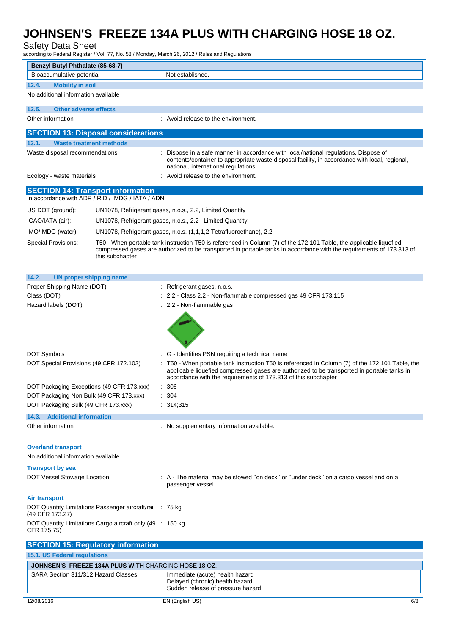Safety Data Sheet

according to Federal Register / Vol. 77, No. 58 / Monday, March 26, 2012 / Rules and Regulations

| Benzyl Butyl Phthalate (85-68-7)                                            |                                                      |                                                                                                                                                                                                                                                                 |  |
|-----------------------------------------------------------------------------|------------------------------------------------------|-----------------------------------------------------------------------------------------------------------------------------------------------------------------------------------------------------------------------------------------------------------------|--|
| Bioaccumulative potential                                                   |                                                      | Not established.                                                                                                                                                                                                                                                |  |
| 12.4.<br><b>Mobility in soil</b>                                            |                                                      |                                                                                                                                                                                                                                                                 |  |
| No additional information available                                         |                                                      |                                                                                                                                                                                                                                                                 |  |
| 12.5.<br><b>Other adverse effects</b>                                       |                                                      |                                                                                                                                                                                                                                                                 |  |
| Other information                                                           |                                                      | : Avoid release to the environment.                                                                                                                                                                                                                             |  |
|                                                                             | <b>SECTION 13: Disposal considerations</b>           |                                                                                                                                                                                                                                                                 |  |
| 13.1.<br><b>Waste treatment methods</b>                                     |                                                      |                                                                                                                                                                                                                                                                 |  |
| Waste disposal recommendations                                              |                                                      | Dispose in a safe manner in accordance with local/national regulations. Dispose of<br>contents/container to appropriate waste disposal facility, in accordance with local, regional,<br>national, international regulations.                                    |  |
| Ecology - waste materials                                                   |                                                      | Avoid release to the environment.                                                                                                                                                                                                                               |  |
| <b>SECTION 14: Transport information</b>                                    | In accordance with ADR / RID / IMDG / IATA / ADN     |                                                                                                                                                                                                                                                                 |  |
| US DOT (ground):                                                            |                                                      | UN1078, Refrigerant gases, n.o.s., 2.2, Limited Quantity                                                                                                                                                                                                        |  |
| ICAO/IATA (air):                                                            |                                                      | UN1078, Refrigerant gases, n.o.s., 2.2, Limited Quantity                                                                                                                                                                                                        |  |
| IMO/IMDG (water):                                                           |                                                      | UN1078, Refrigerant gases, n.o.s. (1,1,1,2-Tetrafluoroethane), 2.2                                                                                                                                                                                              |  |
| <b>Special Provisions:</b>                                                  |                                                      |                                                                                                                                                                                                                                                                 |  |
|                                                                             | this subchapter                                      | T50 - When portable tank instruction T50 is referenced in Column (7) of the 172.101 Table, the applicable liquefied<br>compressed gases are authorized to be transported in portable tanks in accordance with the requirements of 173.313 of                    |  |
| 14.2.<br><b>UN proper shipping name</b>                                     |                                                      |                                                                                                                                                                                                                                                                 |  |
| Proper Shipping Name (DOT)                                                  |                                                      | : Refrigerant gases, n.o.s.                                                                                                                                                                                                                                     |  |
| Class (DOT)                                                                 |                                                      | : 2.2 - Class 2.2 - Non-flammable compressed gas 49 CFR 173.115                                                                                                                                                                                                 |  |
| Hazard labels (DOT)                                                         |                                                      | : 2.2 - Non-flammable gas                                                                                                                                                                                                                                       |  |
|                                                                             |                                                      |                                                                                                                                                                                                                                                                 |  |
| DOT Symbols                                                                 |                                                      | : G - Identifies PSN requiring a technical name                                                                                                                                                                                                                 |  |
| DOT Special Provisions (49 CFR 172.102)                                     |                                                      | T50 - When portable tank instruction T50 is referenced in Column (7) of the 172.101 Table, the<br>applicable liquefied compressed gases are authorized to be transported in portable tanks in<br>accordance with the requirements of 173.313 of this subchapter |  |
| DOT Packaging Exceptions (49 CFR 173.xxx)                                   |                                                      | : 306                                                                                                                                                                                                                                                           |  |
| DOT Packaging Non Bulk (49 CFR 173.xxx)                                     |                                                      | 304                                                                                                                                                                                                                                                             |  |
| DOT Packaging Bulk (49 CFR 173.xxx)                                         |                                                      | : 314;315                                                                                                                                                                                                                                                       |  |
| 14.3. Additional information                                                |                                                      |                                                                                                                                                                                                                                                                 |  |
| Other information                                                           |                                                      | : No supplementary information available.                                                                                                                                                                                                                       |  |
| <b>Overland transport</b><br>No additional information available            |                                                      |                                                                                                                                                                                                                                                                 |  |
| <b>Transport by sea</b>                                                     |                                                      |                                                                                                                                                                                                                                                                 |  |
|                                                                             |                                                      | : A - The material may be stowed "on deck" or "under deck" on a cargo vessel and on a                                                                                                                                                                           |  |
| DOT Vessel Stowage Location                                                 |                                                      | passenger vessel                                                                                                                                                                                                                                                |  |
| Air transport                                                               |                                                      |                                                                                                                                                                                                                                                                 |  |
| DOT Quantity Limitations Passenger aircraft/rail : 75 kg<br>(49 CFR 173.27) |                                                      |                                                                                                                                                                                                                                                                 |  |
| DOT Quantity Limitations Cargo aircraft only (49 : 150 kg<br>CFR 175.75)    |                                                      |                                                                                                                                                                                                                                                                 |  |
| <b>SECTION 15: Regulatory information</b>                                   |                                                      |                                                                                                                                                                                                                                                                 |  |
| 15.1. US Federal regulations                                                |                                                      |                                                                                                                                                                                                                                                                 |  |
|                                                                             | JOHNSEN'S FREEZE 134A PLUS WITH CHARGING HOSE 18 OZ. |                                                                                                                                                                                                                                                                 |  |
| SARA Section 311/312 Hazard Classes                                         |                                                      | Immediate (acute) health hazard                                                                                                                                                                                                                                 |  |
|                                                                             |                                                      | Delayed (chronic) health hazard<br>Sudden release of pressure hazard                                                                                                                                                                                            |  |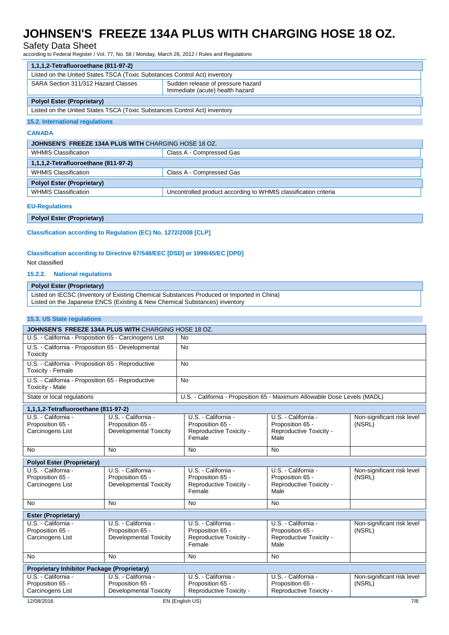### Safety Data Sheet

according to Federal Register / Vol. 77, No. 58 / Monday, March 26, 2012 / Rules and Regulations

| 1,1,1,2-Tetrafluoroethane (811-97-2)                                      |                                                                      |  |  |  |
|---------------------------------------------------------------------------|----------------------------------------------------------------------|--|--|--|
| Listed on the United States TSCA (Toxic Substances Control Act) inventory |                                                                      |  |  |  |
| SARA Section 311/312 Hazard Classes                                       | Sudden release of pressure hazard<br>Immediate (acute) health hazard |  |  |  |
| <b>Polyol Ester (Proprietary)</b>                                         |                                                                      |  |  |  |
| Listed on the United States TSCA (Toxic Substances Control Act) inventory |                                                                      |  |  |  |

#### **15.2. International regulations**

#### **CANADA**

| JOHNSEN'S FREEZE 134A PLUS WITH CHARGING HOSE 18 OZ. |                                                                 |  |  |  |
|------------------------------------------------------|-----------------------------------------------------------------|--|--|--|
| <b>WHMIS Classification</b>                          | Class A - Compressed Gas                                        |  |  |  |
| 1,1,1,2-Tetrafluoroethane (811-97-2)                 |                                                                 |  |  |  |
| <b>WHMIS Classification</b>                          | Class A - Compressed Gas                                        |  |  |  |
| <b>Polyol Ester (Proprietary)</b>                    |                                                                 |  |  |  |
| <b>WHMIS Classification</b>                          | Uncontrolled product according to WHMIS classification criteria |  |  |  |

### **EU-Regulations**

**Polyol Ester (Proprietary)**

**Classification according to Regulation (EC) No. 1272/2008 [CLP]**

### **Classification according to Directive 67/548/EEC [DSD] or 1999/45/EC [DPD]**

#### Not classified

#### **15.2.2. National regulations**

### **Polyol Ester (Proprietary)**

Listed on IECSC (Inventory of Existing Chemical Substances Produced or Imported in China) Listed on the Japanese ENCS (Existing & New Chemical Substances) inventory

#### **15.3. US State regulations**

| JOHNSEN'S FREEZE 134A PLUS WITH CHARGING HOSE 18 OZ.                   |                                                                          |                                                                              |                                                                            |                                      |  |  |
|------------------------------------------------------------------------|--------------------------------------------------------------------------|------------------------------------------------------------------------------|----------------------------------------------------------------------------|--------------------------------------|--|--|
| U.S. - California - Proposition 65 - Carcinogens List                  |                                                                          | <b>No</b>                                                                    |                                                                            |                                      |  |  |
| U.S. - California - Proposition 65 - Developmental<br>Toxicity         |                                                                          | <b>No</b>                                                                    |                                                                            |                                      |  |  |
| U.S. - California - Proposition 65 - Reproductive<br>Toxicity - Female |                                                                          | <b>No</b>                                                                    |                                                                            |                                      |  |  |
| U.S. - California - Proposition 65 - Reproductive<br>Toxicity - Male   |                                                                          | <b>No</b>                                                                    |                                                                            |                                      |  |  |
| State or local regulations                                             |                                                                          | U.S. - California - Proposition 65 - Maximum Allowable Dose Levels (MADL)    |                                                                            |                                      |  |  |
| 1,1,1,2-Tetrafluoroethane (811-97-2)                                   |                                                                          |                                                                              |                                                                            |                                      |  |  |
| U.S. - California -<br>Proposition 65 -<br>Carcinogens List            | U.S. - California -<br>Proposition 65 -<br><b>Developmental Toxicity</b> | U.S. - California -<br>Proposition 65 -<br>Reproductive Toxicity -<br>Female | U.S. - California -<br>Proposition 65 -<br>Reproductive Toxicity -<br>Male | Non-significant risk level<br>(NSRL) |  |  |
| <b>No</b>                                                              | <b>No</b>                                                                | <b>No</b>                                                                    | <b>No</b>                                                                  |                                      |  |  |
| <b>Polyol Ester (Proprietary)</b>                                      |                                                                          |                                                                              |                                                                            |                                      |  |  |
| U.S. California -<br>Proposition 65 -<br>Carcinogens List              | U.S. - California -<br>Proposition 65 -<br><b>Developmental Toxicity</b> | U.S. - California -<br>Proposition 65 -<br>Reproductive Toxicity -<br>Female | U.S. - California -<br>Proposition 65 -<br>Reproductive Toxicity -<br>Male | Non-significant risk level<br>(NSRL) |  |  |
| <b>No</b>                                                              | <b>No</b>                                                                | <b>No</b>                                                                    | <b>No</b>                                                                  |                                      |  |  |
| <b>Ester (Proprietary)</b>                                             |                                                                          |                                                                              |                                                                            |                                      |  |  |
| U.S. - California -<br>Proposition 65 -<br>Carcinogens List            | U.S. - California -<br>Proposition 65 -<br><b>Developmental Toxicity</b> | U.S. - California -<br>Proposition 65 -<br>Reproductive Toxicity -<br>Female | U.S. - California -<br>Proposition 65 -<br>Reproductive Toxicity -<br>Male | Non-significant risk level<br>(NSRL) |  |  |
| <b>No</b>                                                              | <b>No</b>                                                                | <b>No</b>                                                                    | <b>No</b>                                                                  |                                      |  |  |
| <b>Proprietary Inhibitor Package (Proprietary)</b>                     |                                                                          |                                                                              |                                                                            |                                      |  |  |
| U.S. California -<br>Proposition 65 -<br>Carcinogens List              | U.S. - California -<br>Proposition 65 -<br><b>Developmental Toxicity</b> | U.S. - California -<br>Proposition 65 -<br>Reproductive Toxicity -           | U.S. - California -<br>Proposition 65 -<br>Reproductive Toxicity -         | Non-significant risk level<br>(NSRL) |  |  |
| 12/08/2016                                                             |                                                                          | EN (English US)                                                              |                                                                            | 7/8                                  |  |  |